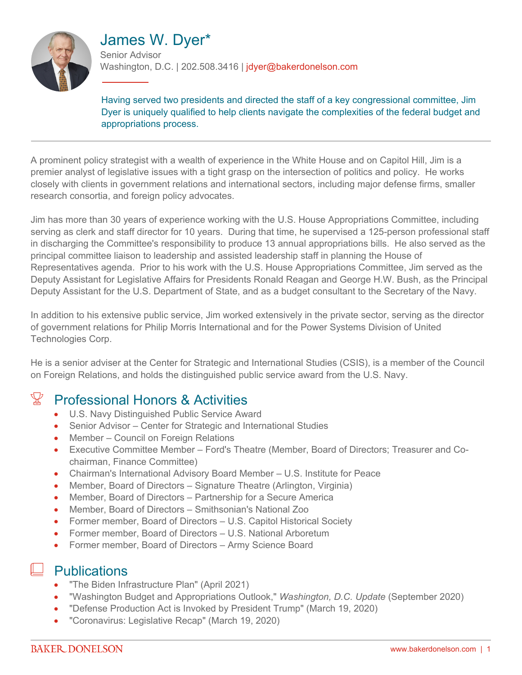

# James W. Dyer\*

Senior Advisor Washington, D.C. | 202.508.3416 | jdyer@bakerdonelson.com

Having served two presidents and directed the staff of a key congressional committee, Jim Dyer is uniquely qualified to help clients navigate the complexities of the federal budget and appropriations process.

A prominent policy strategist with a wealth of experience in the White House and on Capitol Hill, Jim is a premier analyst of legislative issues with a tight grasp on the intersection of politics and policy. He works closely with clients in government relations and international sectors, including major defense firms, smaller research consortia, and foreign policy advocates.

Jim has more than 30 years of experience working with the U.S. House Appropriations Committee, including serving as clerk and staff director for 10 years. During that time, he supervised a 125-person professional staff in discharging the Committee's responsibility to produce 13 annual appropriations bills. He also served as the principal committee liaison to leadership and assisted leadership staff in planning the House of Representatives agenda. Prior to his work with the U.S. House Appropriations Committee, Jim served as the Deputy Assistant for Legislative Affairs for Presidents Ronald Reagan and George H.W. Bush, as the Principal Deputy Assistant for the U.S. Department of State, and as a budget consultant to the Secretary of the Navy.

In addition to his extensive public service, Jim worked extensively in the private sector, serving as the director of government relations for Philip Morris International and for the Power Systems Division of United Technologies Corp.

He is a senior adviser at the Center for Strategic and International Studies (CSIS), is a member of the Council on Foreign Relations, and holds the distinguished public service award from the U.S. Navy.

# $\mathbb{X}$  Professional Honors & Activities

- U.S. Navy Distinguished Public Service Award
- Senior Advisor Center for Strategic and International Studies
- Member Council on Foreign Relations
- Executive Committee Member Ford's Theatre (Member, Board of Directors; Treasurer and Cochairman, Finance Committee)
- Chairman's International Advisory Board Member U.S. Institute for Peace
- Member, Board of Directors Signature Theatre (Arlington, Virginia)
- Member, Board of Directors Partnership for a Secure America
- Member, Board of Directors Smithsonian's National Zoo
- Former member, Board of Directors U.S. Capitol Historical Society
- Former member, Board of Directors U.S. National Arboretum
- Former member, Board of Directors Army Science Board

## **Publications**

- "The Biden Infrastructure Plan" (April 2021)
- "Washington Budget and Appropriations Outlook," *Washington, D.C. Update* (September 2020)
- "Defense Production Act is Invoked by President Trump" (March 19, 2020)
- "Coronavirus: Legislative Recap" (March 19, 2020)